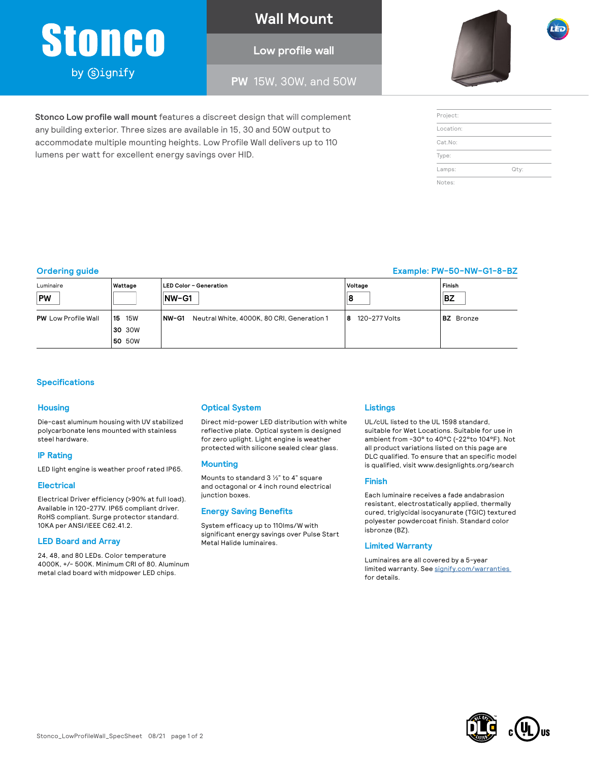# Stoneo

by **Signify** 

#### **Wall Mount**

#### **Low profile wall**

**PW** 15W, 30W, and 50W



| Project:  |      |
|-----------|------|
| Location: |      |
| Cat.No:   |      |
| Type:     |      |
| Lamps:    | Qty: |
| Notes:    |      |

#### **Ordering guide Example: PW-50-NW-G1-8-BZ**

| Luminaire<br><b>PW</b>     | Wattage                  | LED Color - Generation<br>$NW-G1$                    | Voltage<br>Iε      | l Finish<br><b>BZ</b> |
|----------------------------|--------------------------|------------------------------------------------------|--------------------|-----------------------|
| <b>PW</b> Low Profile Wall | <b>15W</b><br><b>115</b> | INW-G1<br>Neutral White, 4000K, 80 CRI, Generation 1 | 120-277 Volts<br>8 | <b>BZ</b> Bronze      |
|                            | 30 30W                   |                                                      |                    |                       |
|                            | <b>50 50W</b>            |                                                      |                    |                       |

#### **Specifications**

#### **Housing**

Die-cast aluminum housing with UV stabilized polycarbonate lens mounted with stainless steel hardware.

#### **IP Rating**

LED light engine is weather proof rated IP65.

#### **Electrical**

Electrical Driver efficiency (>90% at full load). Available in 120-277V. IP65 compliant driver. RoHS compliant. Surge protector standard. 10KA per ANSI/IEEE C62.41.2.

#### **LED Board and Array**

24, 48, and 80 LEDs. Color temperature 4000K, +/- 500K. Minimum CRI of 80. Aluminum metal clad board with midpower LED chips.

#### **Optical System**

**Stonco Low profile wall mount** features a discreet design that will complement any building exterior. Three sizes are available in 15, 30 and 50W output to accommodate multiple mounting heights. Low Profile Wall delivers up to 110

lumens per watt for excellent energy savings over HID.

Direct mid-power LED distribution with white reflective plate. Optical system is designed for zero uplight. Light engine is weather protected with silicone sealed clear glass.

#### **Mounting**

Mounts to standard 3 1/2" to 4" square and octagonal or 4 inch round electrical junction boxes.

#### **Energy Saving Benefits**

System efficacy up to 110lms/W with significant energy savings over Pulse Start Metal Halide luminaires.

#### **Listings**

UL/cUL listed to the UL 1598 standard, suitable for Wet Locations. Suitable for use in ambient from -30° to 40°C (-22°to 104°F). Not all product variations listed on this page are DLC qualified. To ensure that an specific model is qualified, visit [www.designlights.org/search](http://www.designlights.org/search)

#### **Finish**

Each luminaire receives a fade andabrasion resistant, electrostatically applied, thermally cured, triglycidal isocyanurate (TGIC) textured polyester powdercoat finish. Standard color isbronze (BZ).

#### **Limited Warranty**

Luminaires are all covered by a 5-year limited warranty. See signify.com/warranties for details.